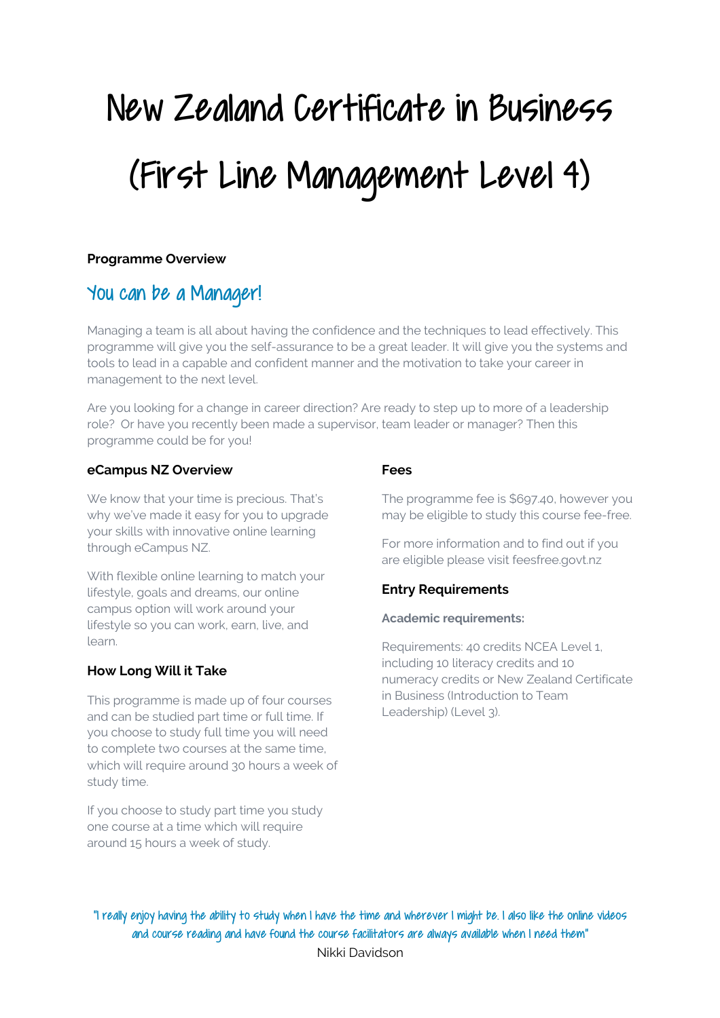# New Zealand Certificate in Business (First Line Management Level 4)

# **Programme Overview**

# You can be a Manager!

Managing a team is all about having the confidence and the techniques to lead effectively. This programme will give you the self-assurance to be a great leader. It will give you the systems and tools to lead in a capable and confident manner and the motivation to take your career in management to the next level.

Are you looking for a change in career direction? Are ready to step up to more of a leadership role? Or have you recently been made a supervisor, team leader or manager? Then this programme could be for you!

### **eCampus NZ Overview**

We know that your time is precious. That's why we've made it easy for you to upgrade your skills with innovative online learning through eCampus NZ.

With flexible online learning to match your lifestyle, goals and dreams, our online campus option will work around your lifestyle so you can work, earn, live, and learn.

# **How Long Will it Take**

This programme is made up of four courses and can be studied part time or full time. If you choose to study full time you will need to complete two courses at the same time, which will require around 30 hours a week of study time.

If you choose to study part time you study one course at a time which will require around 15 hours a week of study.

# **Fees**

The programme fee is \$697.40, however you may be eligible to study this course fee-free.

For more information and to find out if you are eligible please visit feesfree.govt.nz

# **Entry Requirements**

#### **Academic requirements:**

Requirements: 40 credits NCEA Level 1, including 10 literacy credits and 10 numeracy credits or New Zealand Certificate in Business (Introduction to Team Leadership) (Level 3).

"I really enjoy having the ability to study when I have the time and wherever I might be. I also like the online videos and course reading and have found the course facilitators are always available when I need them" Nikki Davidson